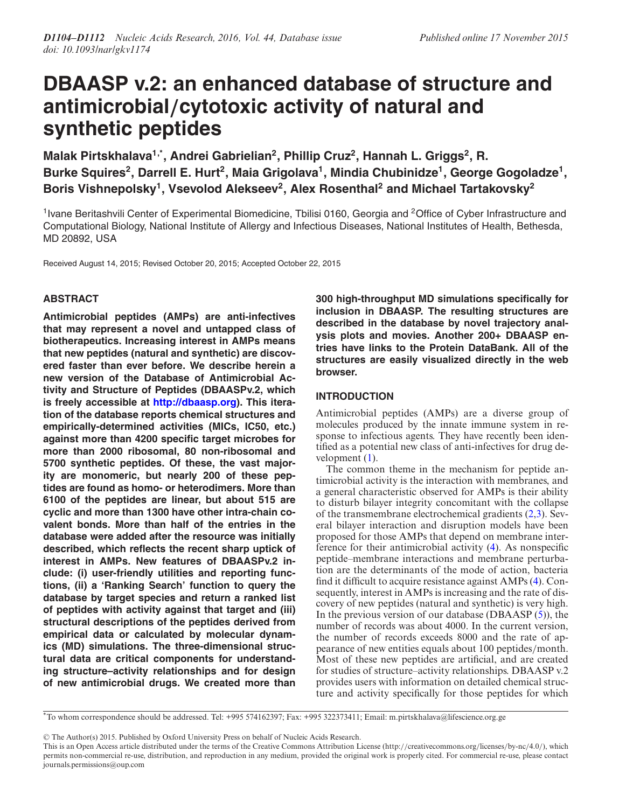# **DBAASP v.2: an enhanced database of structure and antimicrobial***/***cytotoxic activity of natural and synthetic peptides**

Malak Pirtskhalava<sup>1,\*</sup>, Andrei Gabrielian<sup>2</sup>, Phillip Cruz<sup>2</sup>, Hannah L. Griggs<sup>2</sup>, R. Burke Squires<sup>2</sup>, Darrell E. Hurt<sup>2</sup>, Maia Grigolava<sup>1</sup>, Mindia Chubinidze<sup>1</sup>, George Gogoladze<sup>1</sup>, Boris Vishnepolsky<sup>1</sup>, Vsevolod Alekseev<sup>2</sup>, Alex Rosenthal<sup>2</sup> and Michael Tartakovsky<sup>2</sup>

<sup>1</sup> Ivane Beritashvili Center of Experimental Biomedicine, Tbilisi 0160, Georgia and <sup>2</sup>Office of Cyber Infrastructure and Computational Biology, National Institute of Allergy and Infectious Diseases, National Institutes of Health, Bethesda, MD 20892, USA

Received August 14, 2015; Revised October 20, 2015; Accepted October 22, 2015

# **ABSTRACT**

**Antimicrobial peptides (AMPs) are anti-infectives that may represent a novel and untapped class of biotherapeutics. Increasing interest in AMPs means that new peptides (natural and synthetic) are discovered faster than ever before. We describe herein a new version of the Database of Antimicrobial Activity and Structure of Peptides (DBAASPv.2, which is freely accessible at [http://dbaasp.org\)](http://dbaasp.org). This iteration of the database reports chemical structures and empirically-determined activities (MICs, IC50, etc.) against more than 4200 specific target microbes for more than 2000 ribosomal, 80 non-ribosomal and 5700 synthetic peptides. Of these, the vast majority are monomeric, but nearly 200 of these peptides are found as homo- or heterodimers. More than 6100 of the peptides are linear, but about 515 are cyclic and more than 1300 have other intra-chain covalent bonds. More than half of the entries in the database were added after the resource was initially described, which reflects the recent sharp uptick of interest in AMPs. New features of DBAASPv.2 include: (i) user-friendly utilities and reporting functions, (ii) a 'Ranking Search' function to query the database by target species and return a ranked list of peptides with activity against that target and (iii) structural descriptions of the peptides derived from empirical data or calculated by molecular dynamics (MD) simulations. The three-dimensional structural data are critical components for understanding structure–activity relationships and for design of new antimicrobial drugs. We created more than**

**300 high-throughput MD simulations specifically for inclusion in DBAASP. The resulting structures are described in the database by novel trajectory analysis plots and movies. Another 200+ DBAASP entries have links to the Protein DataBank. All of the structures are easily visualized directly in the web browser.**

# **INTRODUCTION**

Antimicrobial peptides (AMPs) are a diverse group of molecules produced by the innate immune system in response to infectious agents. They have recently been identified as a potential new class of anti-infectives for drug development [\(1\)](#page-7-0).

The common theme in the mechanism for peptide antimicrobial activity is the interaction with membranes, and a general characteristic observed for AMPs is their ability to disturb bilayer integrity concomitant with the collapse of the transmembrane electrochemical gradients [\(2,3\)](#page-7-0). Several bilayer interaction and disruption models have been proposed for those AMPs that depend on membrane interference for their antimicrobial activity [\(4\)](#page-7-0). As nonspecific peptide–membrane interactions and membrane perturbation are the determinants of the mode of action, bacteria find it difficult to acquire resistance against AMPs [\(4\)](#page-7-0). Consequently, interest in AMPs is increasing and the rate of discovery of new peptides (natural and synthetic) is very high. In the previous version of our database (DBAASP  $(5)$ ), the number of records was about 4000. In the current version, the number of records exceeds 8000 and the rate of appearance of new entities equals about 100 peptides/month. Most of these new peptides are artificial, and are created for studies of structure–activity relationships. DBAASP v.2 provides users with information on detailed chemical structure and activity specifically for those peptides for which

-<sup>C</sup> The Author(s) 2015. Published by Oxford University Press on behalf of Nucleic Acids Research.

<sup>\*</sup>To whom correspondence should be addressed. Tel: +995 574162397; Fax: +995 322373411; Email: m.pirtskhalava@lifescience.org.ge

This is an Open Access article distributed under the terms of the Creative Commons Attribution License (http://creativecommons.org/licenses/by-nc/4.0/), which permits non-commercial re-use, distribution, and reproduction in any medium, provided the original work is properly cited. For commercial re-use, please contact journals.permissions@oup.com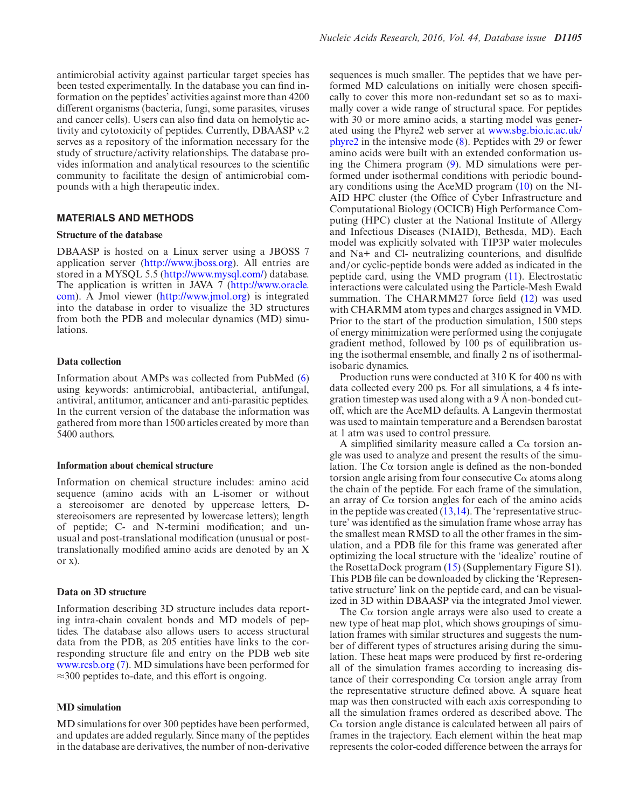antimicrobial activity against particular target species has been tested experimentally. In the database you can find information on the peptides' activities against more than 4200 different organisms (bacteria, fungi, some parasites, viruses and cancer cells). Users can also find data on hemolytic activity and cytotoxicity of peptides. Currently, DBAASP v.2 serves as a repository of the information necessary for the study of structure/activity relationships. The database provides information and analytical resources to the scientific community to facilitate the design of antimicrobial compounds with a high therapeutic index.

## **MATERIALS AND METHODS**

#### **Structure of the database**

DBAASP is hosted on a Linux server using a JBOSS 7 application server [\(http://www.jboss.org\)](http://www.jboss.org). All entries are stored in a MYSQL 5.5 [\(http://www.mysql.com/\)](http://www.mysql.com/) database. [The application is written in JAVA 7 \(http://www.oracle.](http://www.oracle.com) com). A Jmol viewer [\(http://www.jmol.org\)](http://www.jmol.org) is integrated into the database in order to visualize the 3D structures from both the PDB and molecular dynamics (MD) simulations.

## **Data collection**

Information about AMPs was collected from PubMed [\(6\)](#page-7-0) using keywords: antimicrobial, antibacterial, antifungal, antiviral, antitumor, anticancer and anti-parasitic peptides. In the current version of the database the information was gathered from more than 1500 articles created by more than 5400 authors.

#### **Information about chemical structure**

Information on chemical structure includes: amino acid sequence (amino acids with an L-isomer or without a stereoisomer are denoted by uppercase letters, Dstereoisomers are represented by lowercase letters); length of peptide; C- and N-termini modification; and unusual and post-translational modification (unusual or posttranslationally modified amino acids are denoted by an X or x).

#### **Data on 3D structure**

Information describing 3D structure includes data reporting intra-chain covalent bonds and MD models of peptides. The database also allows users to access structural data from the PDB, as 205 entities have links to the corresponding structure file and entry on the PDB web site [www.rcsb.org](http://www.rcsb.org) [\(7\)](#page-7-0). MD simulations have been performed for  $\approx$ 300 peptides to-date, and this effort is ongoing.

#### **MD simulation**

MD simulations for over 300 peptides have been performed, and updates are added regularly. Since many of the peptides in the database are derivatives, the number of non-derivative sequences is much smaller. The peptides that we have performed MD calculations on initially were chosen specifically to cover this more non-redundant set so as to maximally cover a wide range of structural space. For peptides with 30 or more amino acids, a starting model was generated using the Phyre2 web server at www.sbg.bio.ic.ac.uk/ phyre2 [in the intensive mode \(8\). Peptides with 29 or fewer](http://www.sbg.bio.ic.ac.uk/phyre2) amino acids were built with an extended conformation using the Chimera program [\(9\)](#page-7-0). MD simulations were performed under isothermal conditions with periodic boundary conditions using the AceMD program [\(10\)](#page-7-0) on the NI-AID HPC cluster (the Office of Cyber Infrastructure and Computational Biology (OCICB) High Performance Computing (HPC) cluster at the National Institute of Allergy and Infectious Diseases (NIAID), Bethesda, MD). Each model was explicitly solvated with TIP3P water molecules and Na+ and Cl- neutralizing counterions, and disulfide and/or cyclic-peptide bonds were added as indicated in the peptide card, using the VMD program [\(11\)](#page-7-0). Electrostatic interactions were calculated using the Particle-Mesh Ewald summation. The CHARMM27 force field [\(12\)](#page-7-0) was used with CHARMM atom types and charges assigned in VMD. Prior to the start of the production simulation, 1500 steps of energy minimization were performed using the conjugate gradient method, followed by 100 ps of equilibration using the isothermal ensemble, and finally 2 ns of isothermalisobaric dynamics.

Production runs were conducted at 310 K for 400 ns with data collected every 200 ps. For all simulations, a 4 fs integration timestep was used along with a  $9A$  non-bonded cutoff, which are the AceMD defaults. A Langevin thermostat was used to maintain temperature and a Berendsen barostat at 1 atm was used to control pressure.

A simplified similarity measure called a  $C\alpha$  torsion angle was used to analyze and present the results of the simulation. The  $C\alpha$  torsion angle is defined as the non-bonded torsion angle arising from four consecutive  $C\alpha$  atoms along the chain of the peptide. For each frame of the simulation, an array of  $C\alpha$  torsion angles for each of the amino acids in the peptide was created  $(13,14)$ . The 'representative structure' was identified as the simulation frame whose array has the smallest mean RMSD to all the other frames in the simulation, and a PDB file for this frame was generated after optimizing the local structure with the 'idealize' routine of the RosettaDock program [\(15\)](#page-7-0) (Supplementary Figure S1). This PDB file can be downloaded by clicking the 'Representative structure' link on the peptide card, and can be visualized in 3D within DBAASP via the integrated Jmol viewer.

The  $Ca$  torsion angle arrays were also used to create a new type of heat map plot, which shows groupings of simulation frames with similar structures and suggests the number of different types of structures arising during the simulation. These heat maps were produced by first re-ordering all of the simulation frames according to increasing distance of their corresponding  $C\alpha$  torsion angle array from the representative structure defined above. A square heat map was then constructed with each axis corresponding to all the simulation frames ordered as described above. The  $C\alpha$  torsion angle distance is calculated between all pairs of frames in the trajectory. Each element within the heat map represents the color-coded difference between the arrays for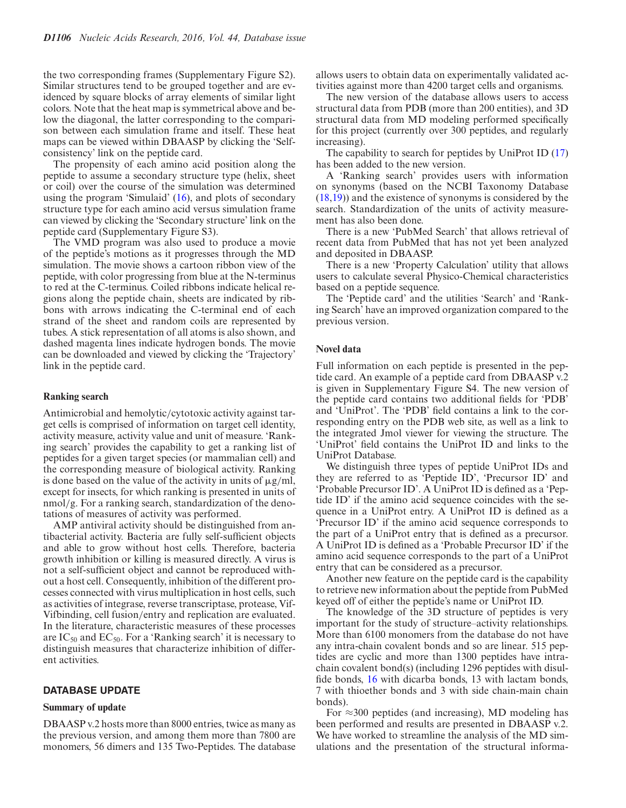the two corresponding frames (Supplementary Figure S2). Similar structures tend to be grouped together and are evidenced by square blocks of array elements of similar light colors. Note that the heat map is symmetrical above and below the diagonal, the latter corresponding to the comparison between each simulation frame and itself. These heat maps can be viewed within DBAASP by clicking the 'Selfconsistency' link on the peptide card.

The propensity of each amino acid position along the peptide to assume a secondary structure type (helix, sheet or coil) over the course of the simulation was determined using the program 'Simulaid' [\(16\)](#page-7-0), and plots of secondary structure type for each amino acid versus simulation frame can viewed by clicking the 'Secondary structure' link on the peptide card (Supplementary Figure S3).

The VMD program was also used to produce a movie of the peptide's motions as it progresses through the MD simulation. The movie shows a cartoon ribbon view of the peptide, with color progressing from blue at the N-terminus to red at the C-terminus. Coiled ribbons indicate helical regions along the peptide chain, sheets are indicated by ribbons with arrows indicating the C-terminal end of each strand of the sheet and random coils are represented by tubes. A stick representation of all atoms is also shown, and dashed magenta lines indicate hydrogen bonds. The movie can be downloaded and viewed by clicking the 'Trajectory' link in the peptide card.

#### **Ranking search**

Antimicrobial and hemolytic/cytotoxic activity against target cells is comprised of information on target cell identity, activity measure, activity value and unit of measure. 'Ranking search' provides the capability to get a ranking list of peptides for a given target species (or mammalian cell) and the corresponding measure of biological activity. Ranking is done based on the value of the activity in units of  $\mu$ g/ml, except for insects, for which ranking is presented in units of nmol/g. For a ranking search, standardization of the denotations of measures of activity was performed.

AMP antiviral activity should be distinguished from antibacterial activity. Bacteria are fully self-sufficient objects and able to grow without host cells. Therefore, bacteria growth inhibition or killing is measured directly. A virus is not a self-sufficient object and cannot be reproduced without a host cell. Consequently, inhibition of the different processes connected with virus multiplication in host cells, such as activities of integrase, reverse transcriptase, protease, Vif-Vifbinding, cell fusion/entry and replication are evaluated. In the literature, characteristic measures of these processes are  $IC_{50}$  and  $EC_{50}$ . For a 'Ranking search' it is necessary to distinguish measures that characterize inhibition of different activities.

## **DATABASE UPDATE**

#### **Summary of update**

DBAASP v.2 hosts more than 8000 entries, twice as many as the previous version, and among them more than 7800 are monomers, 56 dimers and 135 Two-Peptides. The database

allows users to obtain data on experimentally validated activities against more than 4200 target cells and organisms.

The new version of the database allows users to access structural data from PDB (more than 200 entities), and 3D structural data from MD modeling performed specifically for this project (currently over 300 peptides, and regularly increasing).

The capability to search for peptides by UniProt ID [\(17\)](#page-7-0) has been added to the new version.

A 'Ranking search' provides users with information on synonyms (based on the NCBI Taxonomy Database [\(18,19\)](#page-7-0)) and the existence of synonyms is considered by the search. Standardization of the units of activity measurement has also been done.

There is a new 'PubMed Search' that allows retrieval of recent data from PubMed that has not yet been analyzed and deposited in DBAASP.

There is a new 'Property Calculation' utility that allows users to calculate several Physico-Chemical characteristics based on a peptide sequence.

The 'Peptide card' and the utilities 'Search' and 'Ranking Search' have an improved organization compared to the previous version.

#### **Novel data**

Full information on each peptide is presented in the peptide card. An example of a peptide card from DBAASP v.2 is given in Supplementary Figure S4. The new version of the peptide card contains two additional fields for 'PDB' and 'UniProt'. The 'PDB' field contains a link to the corresponding entry on the PDB web site, as well as a link to the integrated Jmol viewer for viewing the structure. The 'UniProt' field contains the UniProt ID and links to the UniProt Database.

We distinguish three types of peptide UniProt IDs and they are referred to as 'Peptide ID', 'Precursor ID' and 'Probable Precursor ID'. A UniProt ID is defined as a 'Peptide ID' if the amino acid sequence coincides with the sequence in a UniProt entry. A UniProt ID is defined as a 'Precursor ID' if the amino acid sequence corresponds to the part of a UniProt entry that is defined as a precursor. A UniProt ID is defined as a 'Probable Precursor ID' if the amino acid sequence corresponds to the part of a UniProt entry that can be considered as a precursor.

Another new feature on the peptide card is the capability to retrieve new information about the peptide from PubMed keyed off of either the peptide's name or UniProt ID.

The knowledge of the 3D structure of peptides is very important for the study of structure–activity relationships. More than 6100 monomers from the database do not have any intra-chain covalent bonds and so are linear. 515 peptides are cyclic and more than 1300 peptides have intrachain covalent bond(s) (including 1296 peptides with disulfide bonds, [16](#page-7-0) with dicarba bonds, 13 with lactam bonds, 7 with thioether bonds and 3 with side chain-main chain bonds).

For  $\approx$ 300 peptides (and increasing), MD modeling has been performed and results are presented in DBAASP v.2. We have worked to streamline the analysis of the MD simulations and the presentation of the structural informa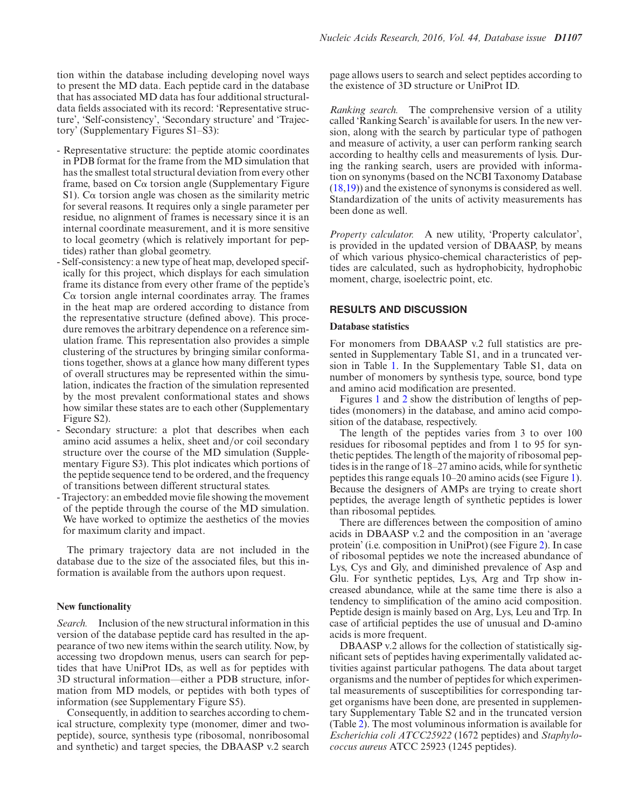tion within the database including developing novel ways to present the MD data. Each peptide card in the database that has associated MD data has four additional structuraldata fields associated with its record: 'Representative structure', 'Self-consistency', 'Secondary structure' and 'Trajectory' (Supplementary Figures S1–S3):

- Representative structure: the peptide atomic coordinates in PDB format for the frame from the MD simulation that has the smallest total structural deviation from every other frame, based on  $C\alpha$  torsion angle (Supplementary Figure S1). C $\alpha$  torsion angle was chosen as the similarity metric for several reasons. It requires only a single parameter per residue, no alignment of frames is necessary since it is an internal coordinate measurement, and it is more sensitive to local geometry (which is relatively important for peptides) rather than global geometry.
- Self-consistency: a new type of heat map, developed specifically for this project, which displays for each simulation frame its distance from every other frame of the peptide's  $C\alpha$  torsion angle internal coordinates array. The frames in the heat map are ordered according to distance from the representative structure (defined above). This procedure removes the arbitrary dependence on a reference simulation frame. This representation also provides a simple clustering of the structures by bringing similar conformations together, shows at a glance how many different types of overall structures may be represented within the simulation, indicates the fraction of the simulation represented by the most prevalent conformational states and shows how similar these states are to each other (Supplementary Figure S2).
- Secondary structure: a plot that describes when each amino acid assumes a helix, sheet and/or coil secondary structure over the course of the MD simulation (Supplementary Figure S3). This plot indicates which portions of the peptide sequence tend to be ordered, and the frequency of transitions between different structural states.
- Trajectory: an embedded movie file showing the movement of the peptide through the course of the MD simulation. We have worked to optimize the aesthetics of the movies for maximum clarity and impact.

The primary trajectory data are not included in the database due to the size of the associated files, but this information is available from the authors upon request.

#### **New functionality**

*Search.* Inclusion of the new structural information in this version of the database peptide card has resulted in the appearance of two new items within the search utility. Now, by accessing two dropdown menus, users can search for peptides that have UniProt IDs, as well as for peptides with 3D structural information––either a PDB structure, information from MD models, or peptides with both types of information (see Supplementary Figure S5).

Consequently, in addition to searches according to chemical structure, complexity type (monomer, dimer and twopeptide), source, synthesis type (ribosomal, nonribosomal and synthetic) and target species, the DBAASP v.2 search page allows users to search and select peptides according to the existence of 3D structure or UniProt ID.

*Ranking search.* The comprehensive version of a utility called 'Ranking Search' is available for users. In the new version, along with the search by particular type of pathogen and measure of activity, a user can perform ranking search according to healthy cells and measurements of lysis. During the ranking search, users are provided with information on synonyms (based on the NCBI Taxonomy Database [\(18,19\)](#page-7-0)) and the existence of synonyms is considered as well. Standardization of the units of activity measurements has been done as well.

*Property calculator.* A new utility, 'Property calculator', is provided in the updated version of DBAASP, by means of which various physico-chemical characteristics of peptides are calculated, such as hydrophobicity, hydrophobic moment, charge, isoelectric point, etc.

#### **RESULTS AND DISCUSSION**

#### **Database statistics**

For monomers from DBAASP v.2 full statistics are presented in Supplementary Table S1, and in a truncated version in Table [1.](#page-4-0) In the Supplementary Table S1, data on number of monomers by synthesis type, source, bond type and amino acid modification are presented.

Figures [1](#page-4-0) and [2](#page-4-0) show the distribution of lengths of peptides (monomers) in the database, and amino acid composition of the database, respectively.

The length of the peptides varies from 3 to over 100 residues for ribosomal peptides and from 1 to 95 for synthetic peptides. The length of the majority of ribosomal peptides is in the range of 18–27 amino acids, while for synthetic peptides this range equals 10–20 amino acids (see Figure [1\)](#page-4-0). Because the designers of AMPs are trying to create short peptides, the average length of synthetic peptides is lower than ribosomal peptides.

There are differences between the composition of amino acids in DBAASP v.2 and the composition in an 'average protein' (i.e. composition in UniProt) (see Figure [2\)](#page-4-0). In case of ribosomal peptides we note the increased abundance of Lys, Cys and Gly, and diminished prevalence of Asp and Glu. For synthetic peptides, Lys, Arg and Trp show increased abundance, while at the same time there is also a tendency to simplification of the amino acid composition. Peptide design is mainly based on Arg, Lys, Leu and Trp. In case of artificial peptides the use of unusual and D-amino acids is more frequent.

DBAASP v.2 allows for the collection of statistically significant sets of peptides having experimentally validated activities against particular pathogens. The data about target organisms and the number of peptides for which experimental measurements of susceptibilities for corresponding target organisms have been done, are presented in supplementary Supplementary Table S2 and in the truncated version (Table [2\)](#page-4-0). The most voluminous information is available for *Escherichia coli ATCC25922* (1672 peptides) and *Staphylococcus aureus* ATCC 25923 (1245 peptides).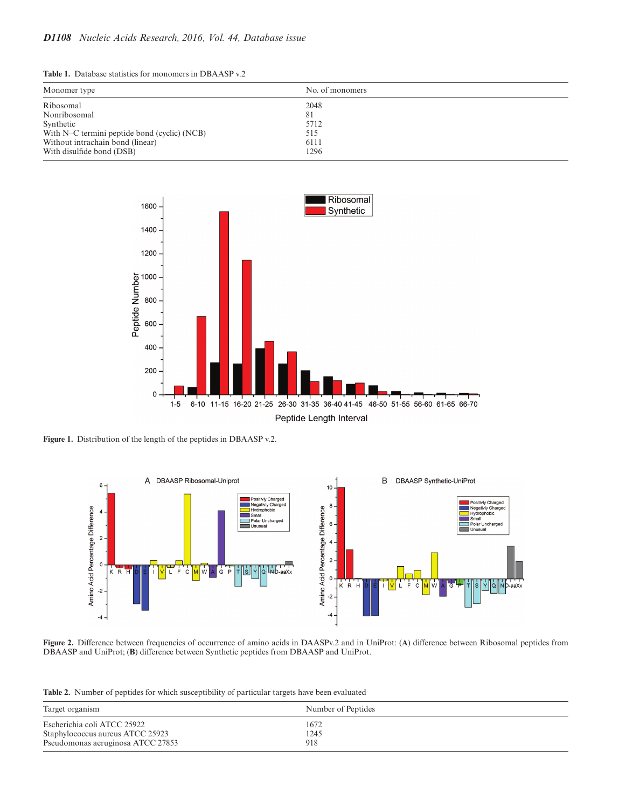<span id="page-4-0"></span>**Table 1.** Database statistics for monomers in DBAASP v.2

| Monomer type                                 | No. of monomers |  |  |  |
|----------------------------------------------|-----------------|--|--|--|
| Ribosomal                                    | 2048            |  |  |  |
| Nonribosomal                                 | 81              |  |  |  |
| Synthetic                                    | 5712            |  |  |  |
| With N–C termini peptide bond (cyclic) (NCB) | 515             |  |  |  |
| Without intrachain bond (linear)             | 6111            |  |  |  |
| With disulfide bond (DSB)                    | 1296            |  |  |  |



Figure 1. Distribution of the length of the peptides in DBAASP v.2.



**Figure 2.** Difference between frequencies of occurrence of amino acids in DAASPv.2 and in UniProt: (**A**) difference between Ribosomal peptides from DBAASP and UniProt; (**B**) difference between Synthetic peptides from DBAASP and UniProt.

**Table 2.** Number of peptides for which susceptibility of particular targets have been evaluated

| Target organism                   | Number of Peptides |
|-----------------------------------|--------------------|
| Escherichia coli ATCC 25922       | 1672               |
| Staphylococcus aureus ATCC 25923  | 1245               |
| Pseudomonas aeruginosa ATCC 27853 | 918                |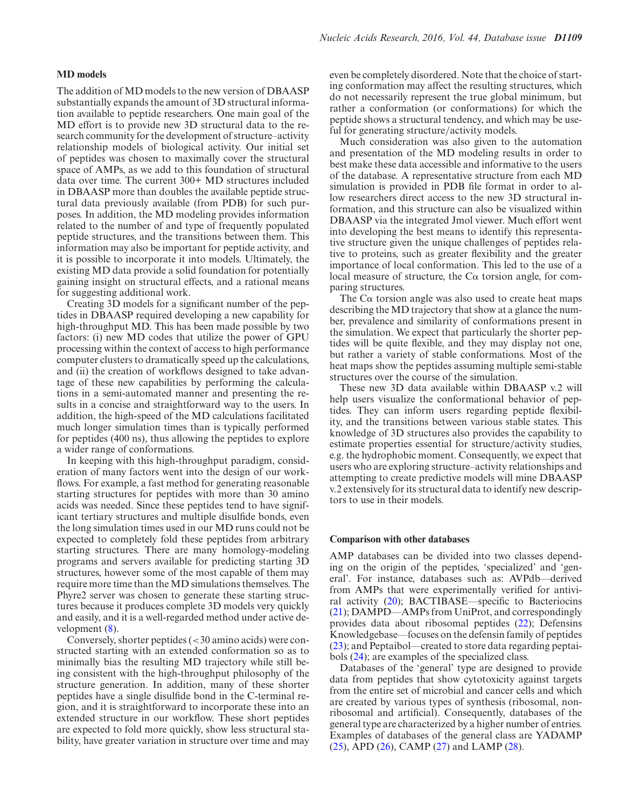#### **MD models**

The addition of MD models to the new version of DBAASP substantially expands the amount of 3D structural information available to peptide researchers. One main goal of the MD effort is to provide new 3D structural data to the research community for the development of structure–activity relationship models of biological activity. Our initial set of peptides was chosen to maximally cover the structural space of AMPs, as we add to this foundation of structural data over time. The current 300+ MD structures included in DBAASP more than doubles the available peptide structural data previously available (from PDB) for such purposes. In addition, the MD modeling provides information related to the number of and type of frequently populated peptide structures, and the transitions between them. This information may also be important for peptide activity, and it is possible to incorporate it into models. Ultimately, the existing MD data provide a solid foundation for potentially gaining insight on structural effects, and a rational means for suggesting additional work.

Creating 3D models for a significant number of the peptides in DBAASP required developing a new capability for high-throughput MD. This has been made possible by two factors: (i) new MD codes that utilize the power of GPU processing within the context of access to high performance computer clusters to dramatically speed up the calculations, and (ii) the creation of workflows designed to take advantage of these new capabilities by performing the calculations in a semi-automated manner and presenting the results in a concise and straightforward way to the users. In addition, the high-speed of the MD calculations facilitated much longer simulation times than is typically performed for peptides (400 ns), thus allowing the peptides to explore a wider range of conformations.

In keeping with this high-throughput paradigm, consideration of many factors went into the design of our workflows. For example, a fast method for generating reasonable starting structures for peptides with more than 30 amino acids was needed. Since these peptides tend to have significant tertiary structures and multiple disulfide bonds, even the long simulation times used in our MD runs could not be expected to completely fold these peptides from arbitrary starting structures. There are many homology-modeling programs and servers available for predicting starting 3D structures, however some of the most capable of them may require more time than the MD simulations themselves. The Phyre2 server was chosen to generate these starting structures because it produces complete 3D models very quickly and easily, and it is a well-regarded method under active development [\(8\)](#page-7-0).

Conversely, shorter peptides (<30 amino acids) were constructed starting with an extended conformation so as to minimally bias the resulting MD trajectory while still being consistent with the high-throughput philosophy of the structure generation. In addition, many of these shorter peptides have a single disulfide bond in the C-terminal region, and it is straightforward to incorporate these into an extended structure in our workflow. These short peptides are expected to fold more quickly, show less structural stability, have greater variation in structure over time and may even be completely disordered. Note that the choice of starting conformation may affect the resulting structures, which do not necessarily represent the true global minimum, but rather a conformation (or conformations) for which the peptide shows a structural tendency, and which may be useful for generating structure/activity models.

Much consideration was also given to the automation and presentation of the MD modeling results in order to best make these data accessible and informative to the users of the database. A representative structure from each MD simulation is provided in PDB file format in order to allow researchers direct access to the new 3D structural information, and this structure can also be visualized within DBAASP via the integrated Jmol viewer. Much effort went into developing the best means to identify this representative structure given the unique challenges of peptides relative to proteins, such as greater flexibility and the greater importance of local conformation. This led to the use of a local measure of structure, the  $C\alpha$  torsion angle, for comparing structures.

The  $Ca$  torsion angle was also used to create heat maps describing the MD trajectory that show at a glance the number, prevalence and similarity of conformations present in the simulation. We expect that particularly the shorter peptides will be quite flexible, and they may display not one, but rather a variety of stable conformations. Most of the heat maps show the peptides assuming multiple semi-stable structures over the course of the simulation.

These new 3D data available within DBAASP v.2 will help users visualize the conformational behavior of peptides. They can inform users regarding peptide flexibility, and the transitions between various stable states. This knowledge of 3D structures also provides the capability to estimate properties essential for structure/activity studies, e.g. the hydrophobic moment. Consequently, we expect that users who are exploring structure–activity relationships and attempting to create predictive models will mine DBAASP v.2 extensively for its structural data to identify new descriptors to use in their models.

#### **Comparison with other databases**

AMP databases can be divided into two classes depending on the origin of the peptides, 'specialized' and 'general'. For instance, databases such as: AVPdb––derived from AMPs that were experimentally verified for antiviral activity [\(20\)](#page-7-0); BACTIBASE––specific to Bacteriocins [\(21\)](#page-7-0); DAMPD––AMPs from UniProt, and correspondingly provides data about ribosomal peptides [\(22\)](#page-7-0); Defensins Knowledgebase––focuses on the defensin family of peptides [\(23\)](#page-7-0); and Peptaibol––created to store data regarding peptaibols [\(24\)](#page-7-0); are examples of the specialized class.

Databases of the 'general' type are designed to provide data from peptides that show cytotoxicity against targets from the entire set of microbial and cancer cells and which are created by various types of synthesis (ribosomal, nonribosomal and artificial). Consequently, databases of the general type are characterized by a higher number of entries. Examples of databases of the general class are YADAMP [\(25\)](#page-7-0), APD [\(26\)](#page-7-0), CAMP [\(27\)](#page-7-0) and LAMP [\(28\)](#page-8-0).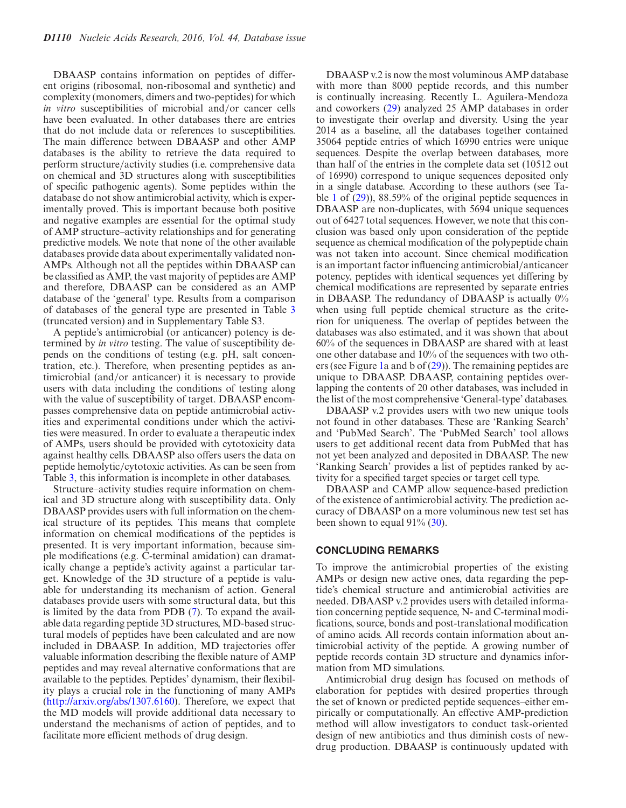DBAASP contains information on peptides of different origins (ribosomal, non-ribosomal and synthetic) and complexity (monomers, dimers and two-peptides) for which *in vitro* susceptibilities of microbial and/or cancer cells have been evaluated. In other databases there are entries that do not include data or references to susceptibilities. The main difference between DBAASP and other AMP databases is the ability to retrieve the data required to perform structure/activity studies (i.e. comprehensive data on chemical and 3D structures along with susceptibilities of specific pathogenic agents). Some peptides within the database do not show antimicrobial activity, which is experimentally proved. This is important because both positive and negative examples are essential for the optimal study of AMP structure–activity relationships and for generating predictive models. We note that none of the other available databases provide data about experimentally validated non-AMPs. Although not all the peptides within DBAASP can be classified as AMP, the vast majority of peptides are AMP and therefore, DBAASP can be considered as an AMP database of the 'general' type. Results from a comparison of databases of the general type are presented in Table [3](#page-7-0) (truncated version) and in Supplementary Table S3.

A peptide's antimicrobial (or anticancer) potency is determined by *in vitro* testing. The value of susceptibility depends on the conditions of testing (e.g. pH, salt concentration, etc.). Therefore, when presenting peptides as antimicrobial (and/or anticancer) it is necessary to provide users with data including the conditions of testing along with the value of susceptibility of target. DBAASP encompasses comprehensive data on peptide antimicrobial activities and experimental conditions under which the activities were measured. In order to evaluate a therapeutic index of AMPs, users should be provided with cytotoxicity data against healthy cells. DBAASP also offers users the data on peptide hemolytic/cytotoxic activities. As can be seen from Table [3,](#page-7-0) this information is incomplete in other databases.

Structure–activity studies require information on chemical and 3D structure along with susceptibility data. Only DBAASP provides users with full information on the chemical structure of its peptides. This means that complete information on chemical modifications of the peptides is presented. It is very important information, because simple modifications (e.g. C-terminal amidation) can dramatically change a peptide's activity against a particular target. Knowledge of the 3D structure of a peptide is valuable for understanding its mechanism of action. General databases provide users with some structural data, but this is limited by the data from PDB [\(7\)](#page-7-0). To expand the available data regarding peptide 3D structures, MD-based structural models of peptides have been calculated and are now included in DBAASP. In addition, MD trajectories offer valuable information describing the flexible nature of AMP peptides and may reveal alternative conformations that are available to the peptides. Peptides' dynamism, their flexibility plays a crucial role in the functioning of many AMPs [\(http://arxiv.org/abs/1307.6160\)](http://arxiv.org/abs/1307.6160). Therefore, we expect that the MD models will provide additional data necessary to understand the mechanisms of action of peptides, and to facilitate more efficient methods of drug design.

DBAASP v.2 is now the most voluminous AMP database with more than 8000 peptide records, and this number is continually increasing. Recently L. Aguilera-Mendoza and coworkers [\(29\)](#page-8-0) analyzed 25 AMP databases in order to investigate their overlap and diversity. Using the year 2014 as a baseline, all the databases together contained 35064 peptide entries of which 16990 entries were unique sequences. Despite the overlap between databases, more than half of the entries in the complete data set (10512 out of 16990) correspond to unique sequences deposited only in a single database. According to these authors (see Table [1](#page-4-0) of [\(29\)](#page-8-0)), 88.59% of the original peptide sequences in DBAASP are non-duplicates, with 5694 unique sequences out of 6427 total sequences. However, we note that this conclusion was based only upon consideration of the peptide sequence as chemical modification of the polypeptide chain was not taken into account. Since chemical modification is an important factor influencing antimicrobial/anticancer potency, peptides with identical sequences yet differing by chemical modifications are represented by separate entries in DBAASP. The redundancy of DBAASP is actually 0% when using full peptide chemical structure as the criterion for uniqueness. The overlap of peptides between the databases was also estimated, and it was shown that about 60% of the sequences in DBAASP are shared with at least one other database and 10% of the sequences with two others (see Figure [1a](#page-4-0) and b of [\(29\)](#page-8-0)). The remaining peptides are unique to DBAASP. DBAASP, containing peptides overlapping the contents of 20 other databases, was included in the list of the most comprehensive 'General-type' databases.

DBAASP v.2 provides users with two new unique tools not found in other databases. These are 'Ranking Search' and 'PubMed Search'. The 'PubMed Search' tool allows users to get additional recent data from PubMed that has not yet been analyzed and deposited in DBAASP. The new 'Ranking Search' provides a list of peptides ranked by activity for a specified target species or target cell type.

DBAASP and CAMP allow sequence-based prediction of the existence of antimicrobial activity. The prediction accuracy of DBAASP on a more voluminous new test set has been shown to equal  $91\%$  [\(30\)](#page-8-0).

### **CONCLUDING REMARKS**

To improve the antimicrobial properties of the existing AMPs or design new active ones, data regarding the peptide's chemical structure and antimicrobial activities are needed. DBAASP v.2 provides users with detailed information concerning peptide sequence, N- and C-terminal modifications, source, bonds and post-translational modification of amino acids. All records contain information about antimicrobial activity of the peptide. A growing number of peptide records contain 3D structure and dynamics information from MD simulations.

Antimicrobial drug design has focused on methods of elaboration for peptides with desired properties through the set of known or predicted peptide sequences–either empirically or computationally. An effective AMP-prediction method will allow investigators to conduct task-oriented design of new antibiotics and thus diminish costs of newdrug production. DBAASP is continuously updated with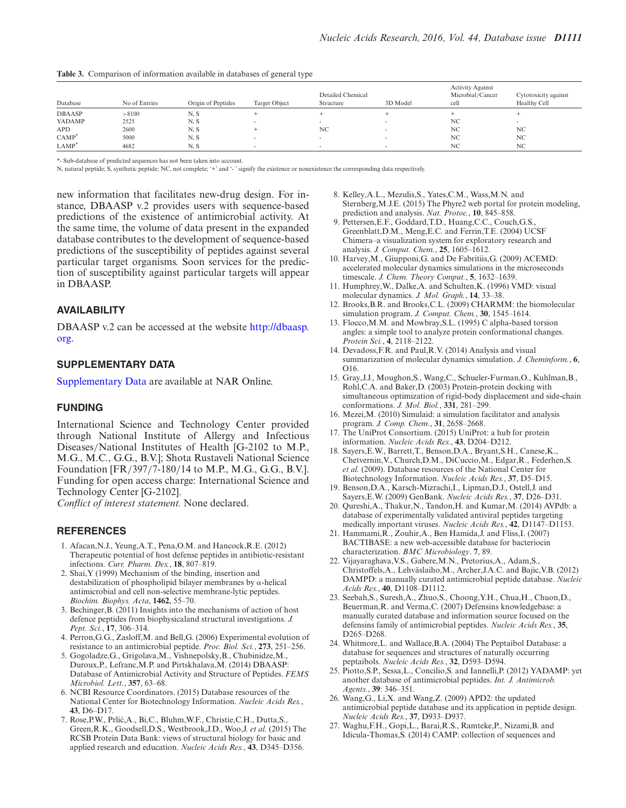| Database      | No of Entries | Origin of Peptides | <b>Target Object</b> | Detailed Chemical<br>Structure | 3D Model | <b>Activity Against</b><br>Microbial/Cancer<br>cell | Cytotoxicity against<br>Healthy Cell |
|---------------|---------------|--------------------|----------------------|--------------------------------|----------|-----------------------------------------------------|--------------------------------------|
| <b>DBAASP</b> | > 8100        | N. S               |                      |                                |          |                                                     |                                      |
| YADAMP        | 2525          | N. S               |                      |                                |          | NC                                                  | $\overline{\phantom{a}}$             |
| <b>APD</b>    | 2600          | N. S               |                      | NC.                            |          | NC                                                  | NC                                   |
| $CAMP^*$      | 5000          | N. S               |                      | $\overline{\phantom{a}}$       |          | NC                                                  | NC                                   |
| $LAMP^*$      | 4682          | N. S               |                      |                                |          | NC                                                  | NC                                   |

<span id="page-7-0"></span>**Table 3.** Comparison of information available in databases of general type

\*- Sub-database of predicted sequences has not been taken into account.

N, natural peptide; S, synthetic peptide; NC, not complete; '+' and '- ' signify the existence or nonexistence the corresponding data respectively.

new information that facilitates new-drug design. For instance, DBAASP v.2 provides users with sequence-based predictions of the existence of antimicrobial activity. At the same time, the volume of data present in the expanded database contributes to the development of sequence-based predictions of the susceptibility of peptides against several particular target organisms. Soon services for the prediction of susceptibility against particular targets will appear in DBAASP.

## **AVAILABILITY**

[DBAASP v.2 can be accessed at the website](http://dbaasp.org) http://dbaasp. org.

## **SUPPLEMENTARY DATA**

[Supplementary Data](http://nar.oxfordjournals.org/lookup/suppl/doi:10.1093/nar/gkv1174/-/DC1) are available at NAR Online.

#### **FUNDING**

International Science and Technology Center provided through National Institute of Allergy and Infectious Diseases/National Institutes of Health [G-2102 to M.P., M.G., M.C., G.G., B.V.]; Shota Rustaveli National Science Foundation [FR/397/7-180/14 to M.P., M.G., G.G., B.V.]. Funding for open access charge: International Science and Technology Center [G-2102].

*Conflict of interest statement.* None declared.

## **REFERENCES**

- 1. Afacan,N.J., Yeung,A.T., Pena,O.M. and Hancock,R.E. (2012) Therapeutic potential of host defense peptides in antibiotic-resistant infections. *Curr. Pharm. Des.*, **18**, 807–819.
- 2. Shai,Y (1999) Mechanism of the binding, insertion and destabilization of phospholipid bilayer membranes by  $\alpha$ -helical antimicrobial and cell non-selective membrane-lytic peptides. *Biochim. Biophys. Acta*, **1462**, 55–70.
- 3. Bechinger,B. (2011) Insights into the mechanisms of action of host defence peptides from biophysicaland structural investigations. *J. Pept. Sci.*, **17**, 306–314.
- 4. Perron,G.G., Zasloff,M. and Bell,G. (2006) Experimental evolution of resistance to an antimicrobial peptide. *Proc. Biol. Sci.*, **273**, 251–256.
- 5. Gogoladze,G., Grigolava,M., Vishnepolsky,B., Chubinidze,M., Duroux,P., Lefranc,M.P. and Pirtskhalava,M. (2014) DBAASP: Database of Antimicrobial Activity and Structure of Peptides. *FEMS Microbiol. Lett.*, **357**, 63–68.
- 6. NCBI Resource Coordinators. (2015) Database resources of the National Center for Biotechnology Information. *Nucleic Acids Res.*, **43**, D6–D17.
- 7. Rose,P.W., Prlic,A., Bi,C., Bluhm,W.F., Christie,C.H., Dutta,S., ´ Green,R.K., Goodsell,D.S., Westbrook,J.D., Woo,J. *et al.* (2015) The RCSB Protein Data Bank: views of structural biology for basic and applied research and education. *Nucleic Acids Res.*, **43**, D345–D356.
- 8. Kelley,A.L., Mezulis,S., Yates,C.M., Wass,M.N. and Sternberg,M.J.E. (2015) The Phyre2 web portal for protein modeling, prediction and analysis. *Nat. Protoc.*, **10**, 845–858.
- 9. Pettersen,E.F., Goddard,T.D., Huang,C.C., Couch,G.S., Greenblatt,D.M., Meng,E.C. and Ferrin,T.E. (2004) UCSF Chimera–a visualization system for exploratory research and analysis. *J. Comput. Chem.*, **25**, 1605–1612.
- 10. Harvey,M., Giupponi,G. and De Fabritiis,G. (2009) ACEMD: accelerated molecular dynamics simulations in the microseconds timescale. *J. Chem. Theory Comput.*, **5**, 1632–1639.
- 11. Humphrey,W., Dalke,A. and Schulten,K. (1996) VMD: visual molecular dynamics. *J. Mol. Graph.*, **14**, 33–38.
- 12. Brooks,B.R. and Brooks,C.L. (2009) CHARMM: the biomolecular simulation program. *J. Comput. Chem.*, **30**, 1545–1614.
- 13. Flocco,M.M. and Mowbray,S.L. (1995) C alpha-based torsion angles: a simple tool to analyze protein conformational changes. *Protein Sci.*, **4**, 2118–2122.
- 14. Devadoss,F.R. and Paul,R.V. (2014) Analysis and visual summarization of molecular dynamics simulation. *J. Cheminform.*, **6**, O16.
- 15. Gray,J.J., Moughon,S., Wang,C., Schueler-Furman,O., Kuhlman,B., Rohl,C.A. and Baker,D. (2003) Protein-protein docking with simultaneous optimization of rigid-body displacement and side-chain conformations. *J. Mol. Biol.*, **331**, 281–299.
- 16. Mezei,M. (2010) Simulaid: a simulation facilitator and analysis program. *J. Comp. Chem.*, **31**, 2658–2668.
- 17. The UniProt Consortium. (2015) UniProt: a hub for protein information. *Nucleic Acids Res.*, **43**, D204–D212.
- 18. Sayers,E.W., Barrett,T., Benson,D.A., Bryant,S.H., Canese,K., Chetvernin,V., Church,D.M., DiCuccio,M., Edgar,R., Federhen,S. *et al.* (2009). Database resources of the National Center for Biotechnology Information. *Nucleic Acids Res.*, **37**, D5–D15.
- 19. Benson,D.A., Karsch-Mizrachi,I., Lipman,D.J., Ostell,J. and Sayers,E.W. (2009) GenBank. *Nucleic Acids Res.*, **37**, D26–D31.
- 20. Qureshi,A., Thakur,N., Tandon,H. and Kumar,M. (2014) AVPdb: a database of experimentally validated antiviral peptides targeting medically important viruses. *Nucleic Acids Res.*, **42**, D1147–D1153.
- 21. Hammami,R., Zouhir,A., Ben Hamida,J. and Fliss,I. (2007) BACTIBASE: a new web-accessible database for bacteriocin characterization. *BMC Microbiology*. **7**, 89.
- 22. Vijayaraghava,V.S., Gabere,M.N., Pretorius,A., Adam,S., Christoffels, A., Lehväslaiho, M., Archer, J.A.C. and Bajic, V.B. (2012) DAMPD: a manually curated antimicrobial peptide database. *Nucleic Acids Res.*, **40**, D1108–D1112.
- 23. Seebah,S., Suresh,A., Zhuo,S., Choong,Y.H., Chua,H., Chuon,D., Beuerman,R. and Verma,C. (2007) Defensins knowledgebase: a manually curated database and information source focused on the defensins family of antimicrobial peptides. *Nucleic Acids Res.*, **35**, D265–D268.
- 24. Whitmore,L. and Wallace,B.A. (2004) The Peptaibol Database: a database for sequences and structures of naturally occurring peptaibols. *Nucleic Acids Res.*, **32**, D593–D594.
- 25. Piotto,S.P., Sessa,L., Concilio,S. and Iannelli,P. (2012) YADAMP: yet another database of antimicrobial peptides. *Int. J. Antimicrob. Agents.*, **39**: 346–351.
- 26. Wang,G., Li,X. and Wang,Z. (2009) APD2: the updated antimicrobial peptide database and its application in peptide design. *Nucleic Acids Res.*, **37**, D933–D937.
- 27. Waghu,F.H., Gopi,L., Barai,R.S., Ramteke,P., Nizami,B. and Idicula-Thomas,S. (2014) CAMP: collection of sequences and